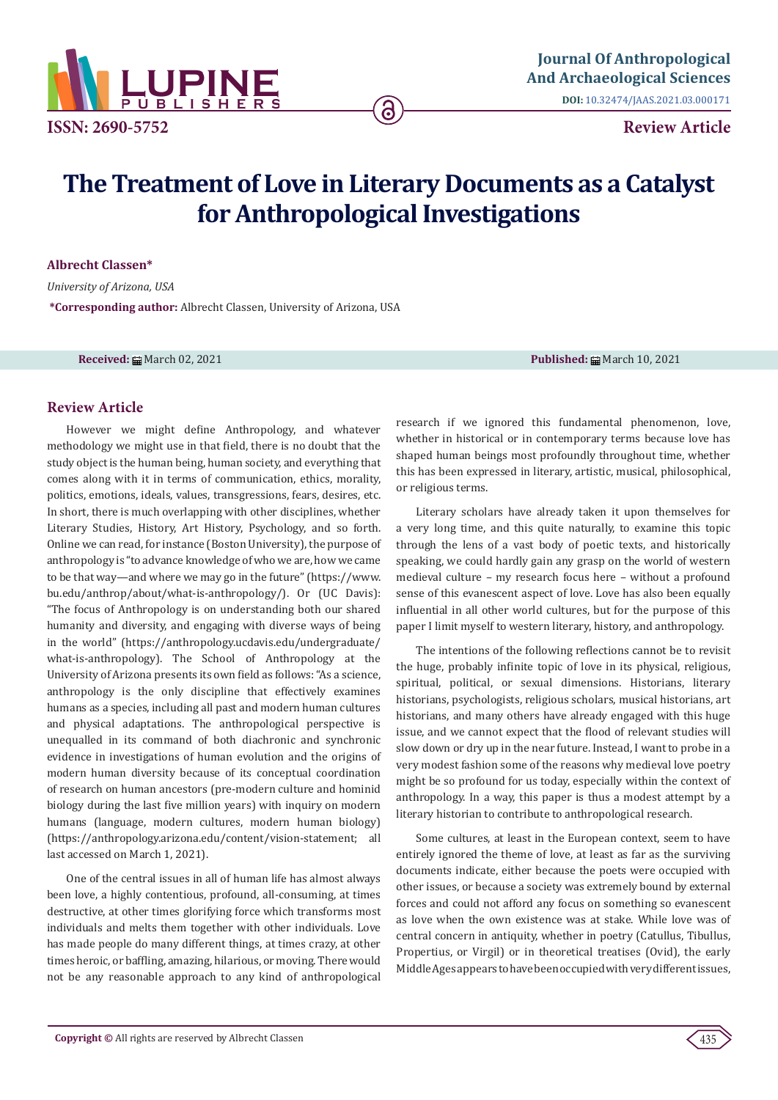

# **Review Article**

# **The Treatment of Love in Literary Documents as a Catalyst for Anthropological Investigations**

ခ

**Albrecht Classen\***

*University of Arizona, USA* **\*Corresponding author:** Albrecht Classen, University of Arizona, USA

**Received:** March 02, 2021 **Published:** March 10, 2021

## **Review Article**

However we might define Anthropology, and whatever methodology we might use in that field, there is no doubt that the study object is the human being, human society, and everything that comes along with it in terms of communication, ethics, morality, politics, emotions, ideals, values, transgressions, fears, desires, etc. In short, there is much overlapping with other disciplines, whether Literary Studies, History, Art History, Psychology, and so forth. Online we can read, for instance (Boston University), the purpose of anthropology is "to advance knowledge of who we are, how we came to be that way—and where we may go in the future" (https://www. bu.edu/anthrop/about/what-is-anthropology/). Or (UC Davis): "The focus of Anthropology is on understanding both our shared humanity and diversity, and engaging with diverse ways of being in the world" (https://anthropology.ucdavis.edu/undergraduate/ what-is-anthropology). The School of Anthropology at the University of Arizona presents its own field as follows: "As a science, anthropology is the only discipline that effectively examines humans as a species, including all past and modern human cultures and physical adaptations. The anthropological perspective is unequalled in its command of both diachronic and synchronic evidence in investigations of human evolution and the origins of modern human diversity because of its conceptual coordination of research on human ancestors (pre-modern culture and hominid biology during the last five million years) with inquiry on modern humans (language, modern cultures, modern human biology) (https://anthropology.arizona.edu/content/vision-statement; all last accessed on March 1, 2021).

One of the central issues in all of human life has almost always been love, a highly contentious, profound, all-consuming, at times destructive, at other times glorifying force which transforms most individuals and melts them together with other individuals. Love has made people do many different things, at times crazy, at other times heroic, or baffling, amazing, hilarious, or moving. There would not be any reasonable approach to any kind of anthropological

research if we ignored this fundamental phenomenon, love, whether in historical or in contemporary terms because love has shaped human beings most profoundly throughout time, whether this has been expressed in literary, artistic, musical, philosophical, or religious terms.

Literary scholars have already taken it upon themselves for a very long time, and this quite naturally, to examine this topic through the lens of a vast body of poetic texts, and historically speaking, we could hardly gain any grasp on the world of western medieval culture – my research focus here – without a profound sense of this evanescent aspect of love. Love has also been equally influential in all other world cultures, but for the purpose of this paper I limit myself to western literary, history, and anthropology.

The intentions of the following reflections cannot be to revisit the huge, probably infinite topic of love in its physical, religious, spiritual, political, or sexual dimensions. Historians, literary historians, psychologists, religious scholars, musical historians, art historians, and many others have already engaged with this huge issue, and we cannot expect that the flood of relevant studies will slow down or dry up in the near future. Instead, I want to probe in a very modest fashion some of the reasons why medieval love poetry might be so profound for us today, especially within the context of anthropology. In a way, this paper is thus a modest attempt by a literary historian to contribute to anthropological research.

Some cultures, at least in the European context, seem to have entirely ignored the theme of love, at least as far as the surviving documents indicate, either because the poets were occupied with other issues, or because a society was extremely bound by external forces and could not afford any focus on something so evanescent as love when the own existence was at stake. While love was of central concern in antiquity, whether in poetry (Catullus, Tibullus, Propertius, or Virgil) or in theoretical treatises (Ovid), the early Middle Ages appears to have been occupied with very different issues,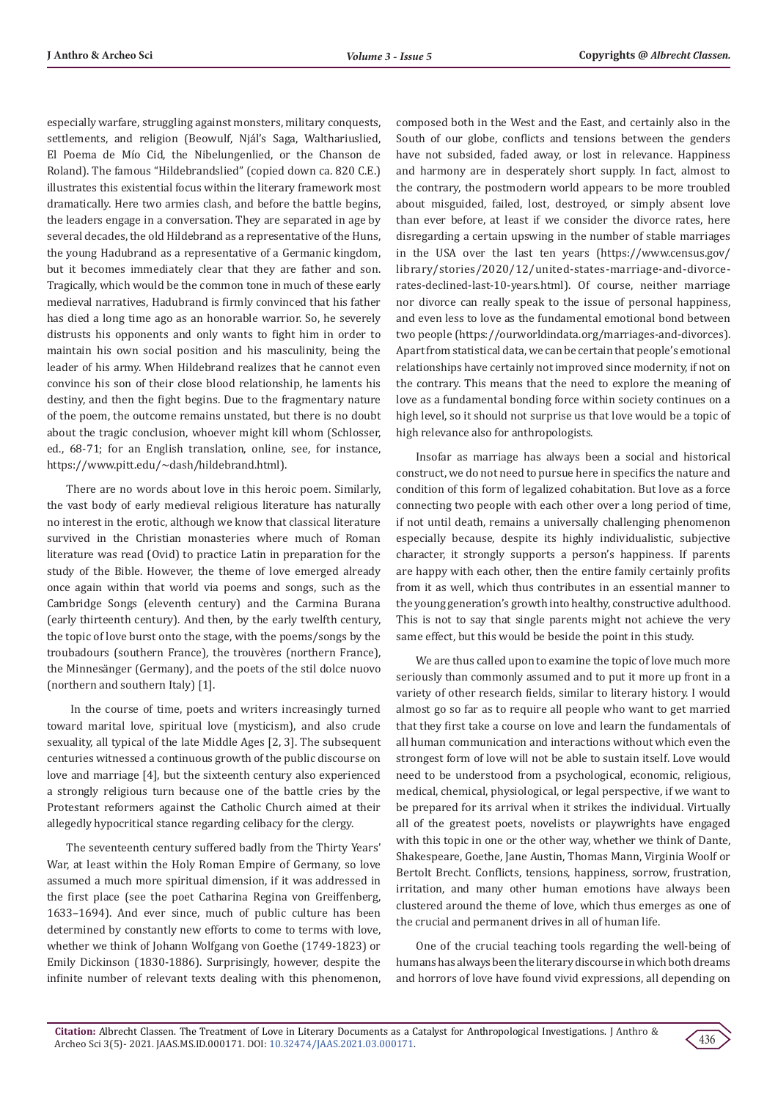especially warfare, struggling against monsters, military conquests, settlements, and religion (Beowulf, Njál's Saga, Walthariuslied, El Poema de Mío Cid, the Nibelungenlied, or the Chanson de Roland). The famous "Hildebrandslied" (copied down ca. 820 C.E.) illustrates this existential focus within the literary framework most dramatically. Here two armies clash, and before the battle begins, the leaders engage in a conversation. They are separated in age by several decades, the old Hildebrand as a representative of the Huns, the young Hadubrand as a representative of a Germanic kingdom, but it becomes immediately clear that they are father and son. Tragically, which would be the common tone in much of these early medieval narratives, Hadubrand is firmly convinced that his father has died a long time ago as an honorable warrior. So, he severely distrusts his opponents and only wants to fight him in order to maintain his own social position and his masculinity, being the leader of his army. When Hildebrand realizes that he cannot even convince his son of their close blood relationship, he laments his destiny, and then the fight begins. Due to the fragmentary nature of the poem, the outcome remains unstated, but there is no doubt about the tragic conclusion, whoever might kill whom (Schlosser, ed., 68-71; for an English translation, online, see, for instance, https://www.pitt.edu/~dash/hildebrand.html).

There are no words about love in this heroic poem. Similarly, the vast body of early medieval religious literature has naturally no interest in the erotic, although we know that classical literature survived in the Christian monasteries where much of Roman literature was read (Ovid) to practice Latin in preparation for the study of the Bible. However, the theme of love emerged already once again within that world via poems and songs, such as the Cambridge Songs (eleventh century) and the Carmina Burana (early thirteenth century). And then, by the early twelfth century, the topic of love burst onto the stage, with the poems/songs by the troubadours (southern France), the trouvères (northern France), the Minnesänger (Germany), and the poets of the stil dolce nuovo (northern and southern Italy) [1].

 In the course of time, poets and writers increasingly turned toward marital love, spiritual love (mysticism), and also crude sexuality, all typical of the late Middle Ages [2, 3]. The subsequent centuries witnessed a continuous growth of the public discourse on love and marriage [4], but the sixteenth century also experienced a strongly religious turn because one of the battle cries by the Protestant reformers against the Catholic Church aimed at their allegedly hypocritical stance regarding celibacy for the clergy.

The seventeenth century suffered badly from the Thirty Years' War, at least within the Holy Roman Empire of Germany, so love assumed a much more spiritual dimension, if it was addressed in the first place (see the poet Catharina Regina von Greiffenberg, 1633–1694). And ever since, much of public culture has been determined by constantly new efforts to come to terms with love, whether we think of Johann Wolfgang von Goethe (1749-1823) or Emily Dickinson (1830-1886). Surprisingly, however, despite the infinite number of relevant texts dealing with this phenomenon,

composed both in the West and the East, and certainly also in the South of our globe, conflicts and tensions between the genders have not subsided, faded away, or lost in relevance. Happiness and harmony are in desperately short supply. In fact, almost to the contrary, the postmodern world appears to be more troubled about misguided, failed, lost, destroyed, or simply absent love than ever before, at least if we consider the divorce rates, here disregarding a certain upswing in the number of stable marriages in the USA over the last ten years (https://www.census.gov/ library/stories/2020/12/united-states-marriage-and-divorcerates-declined-last-10-years.html). Of course, neither marriage nor divorce can really speak to the issue of personal happiness, and even less to love as the fundamental emotional bond between two people (https://ourworldindata.org/marriages-and-divorces). Apart from statistical data, we can be certain that people's emotional relationships have certainly not improved since modernity, if not on the contrary. This means that the need to explore the meaning of love as a fundamental bonding force within society continues on a high level, so it should not surprise us that love would be a topic of high relevance also for anthropologists.

Insofar as marriage has always been a social and historical construct, we do not need to pursue here in specifics the nature and condition of this form of legalized cohabitation. But love as a force connecting two people with each other over a long period of time, if not until death, remains a universally challenging phenomenon especially because, despite its highly individualistic, subjective character, it strongly supports a person's happiness. If parents are happy with each other, then the entire family certainly profits from it as well, which thus contributes in an essential manner to the young generation's growth into healthy, constructive adulthood. This is not to say that single parents might not achieve the very same effect, but this would be beside the point in this study.

We are thus called upon to examine the topic of love much more seriously than commonly assumed and to put it more up front in a variety of other research fields, similar to literary history. I would almost go so far as to require all people who want to get married that they first take a course on love and learn the fundamentals of all human communication and interactions without which even the strongest form of love will not be able to sustain itself. Love would need to be understood from a psychological, economic, religious, medical, chemical, physiological, or legal perspective, if we want to be prepared for its arrival when it strikes the individual. Virtually all of the greatest poets, novelists or playwrights have engaged with this topic in one or the other way, whether we think of Dante, Shakespeare, Goethe, Jane Austin, Thomas Mann, Virginia Woolf or Bertolt Brecht. Conflicts, tensions, happiness, sorrow, frustration, irritation, and many other human emotions have always been clustered around the theme of love, which thus emerges as one of the crucial and permanent drives in all of human life.

One of the crucial teaching tools regarding the well-being of humans has always been the literary discourse in which both dreams and horrors of love have found vivid expressions, all depending on

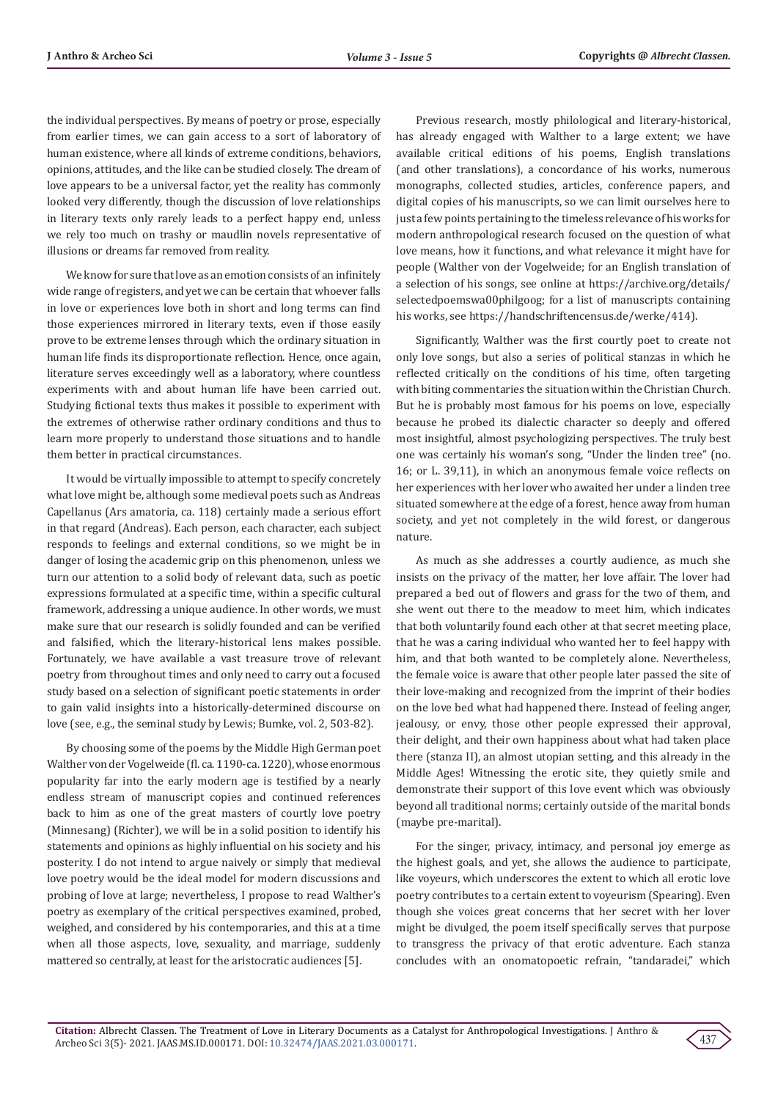the individual perspectives. By means of poetry or prose, especially from earlier times, we can gain access to a sort of laboratory of human existence, where all kinds of extreme conditions, behaviors, opinions, attitudes, and the like can be studied closely. The dream of love appears to be a universal factor, yet the reality has commonly looked very differently, though the discussion of love relationships in literary texts only rarely leads to a perfect happy end, unless we rely too much on trashy or maudlin novels representative of illusions or dreams far removed from reality.

We know for sure that love as an emotion consists of an infinitely wide range of registers, and yet we can be certain that whoever falls in love or experiences love both in short and long terms can find those experiences mirrored in literary texts, even if those easily prove to be extreme lenses through which the ordinary situation in human life finds its disproportionate reflection. Hence, once again, literature serves exceedingly well as a laboratory, where countless experiments with and about human life have been carried out. Studying fictional texts thus makes it possible to experiment with the extremes of otherwise rather ordinary conditions and thus to learn more properly to understand those situations and to handle them better in practical circumstances.

It would be virtually impossible to attempt to specify concretely what love might be, although some medieval poets such as Andreas Capellanus (Ars amatoria, ca. 118) certainly made a serious effort in that regard (Andreas). Each person, each character, each subject responds to feelings and external conditions, so we might be in danger of losing the academic grip on this phenomenon, unless we turn our attention to a solid body of relevant data, such as poetic expressions formulated at a specific time, within a specific cultural framework, addressing a unique audience. In other words, we must make sure that our research is solidly founded and can be verified and falsified, which the literary-historical lens makes possible. Fortunately, we have available a vast treasure trove of relevant poetry from throughout times and only need to carry out a focused study based on a selection of significant poetic statements in order to gain valid insights into a historically-determined discourse on love (see, e.g., the seminal study by Lewis; Bumke, vol. 2, 503-82).

By choosing some of the poems by the Middle High German poet Walther von der Vogelweide (fl. ca. 1190-ca. 1220), whose enormous popularity far into the early modern age is testified by a nearly endless stream of manuscript copies and continued references back to him as one of the great masters of courtly love poetry (Minnesang) (Richter), we will be in a solid position to identify his statements and opinions as highly influential on his society and his posterity. I do not intend to argue naively or simply that medieval love poetry would be the ideal model for modern discussions and probing of love at large; nevertheless, I propose to read Walther's poetry as exemplary of the critical perspectives examined, probed, weighed, and considered by his contemporaries, and this at a time when all those aspects, love, sexuality, and marriage, suddenly mattered so centrally, at least for the aristocratic audiences [5].

Previous research, mostly philological and literary-historical, has already engaged with Walther to a large extent; we have available critical editions of his poems, English translations (and other translations), a concordance of his works, numerous monographs, collected studies, articles, conference papers, and digital copies of his manuscripts, so we can limit ourselves here to just a few points pertaining to the timeless relevance of his works for modern anthropological research focused on the question of what love means, how it functions, and what relevance it might have for people (Walther von der Vogelweide; for an English translation of a selection of his songs, see online at https://archive.org/details/ selectedpoemswa00philgoog; for a list of manuscripts containing his works, see https://handschriftencensus.de/werke/414).

Significantly, Walther was the first courtly poet to create not only love songs, but also a series of political stanzas in which he reflected critically on the conditions of his time, often targeting with biting commentaries the situation within the Christian Church. But he is probably most famous for his poems on love, especially because he probed its dialectic character so deeply and offered most insightful, almost psychologizing perspectives. The truly best one was certainly his woman's song, "Under the linden tree" (no. 16; or L. 39,11), in which an anonymous female voice reflects on her experiences with her lover who awaited her under a linden tree situated somewhere at the edge of a forest, hence away from human society, and yet not completely in the wild forest, or dangerous nature.

As much as she addresses a courtly audience, as much she insists on the privacy of the matter, her love affair. The lover had prepared a bed out of flowers and grass for the two of them, and she went out there to the meadow to meet him, which indicates that both voluntarily found each other at that secret meeting place, that he was a caring individual who wanted her to feel happy with him, and that both wanted to be completely alone. Nevertheless, the female voice is aware that other people later passed the site of their love-making and recognized from the imprint of their bodies on the love bed what had happened there. Instead of feeling anger, jealousy, or envy, those other people expressed their approval, their delight, and their own happiness about what had taken place there (stanza II), an almost utopian setting, and this already in the Middle Ages! Witnessing the erotic site, they quietly smile and demonstrate their support of this love event which was obviously beyond all traditional norms; certainly outside of the marital bonds (maybe pre-marital).

For the singer, privacy, intimacy, and personal joy emerge as the highest goals, and yet, she allows the audience to participate, like voyeurs, which underscores the extent to which all erotic love poetry contributes to a certain extent to voyeurism (Spearing). Even though she voices great concerns that her secret with her lover might be divulged, the poem itself specifically serves that purpose to transgress the privacy of that erotic adventure. Each stanza concludes with an onomatopoetic refrain, "tandaradei," which

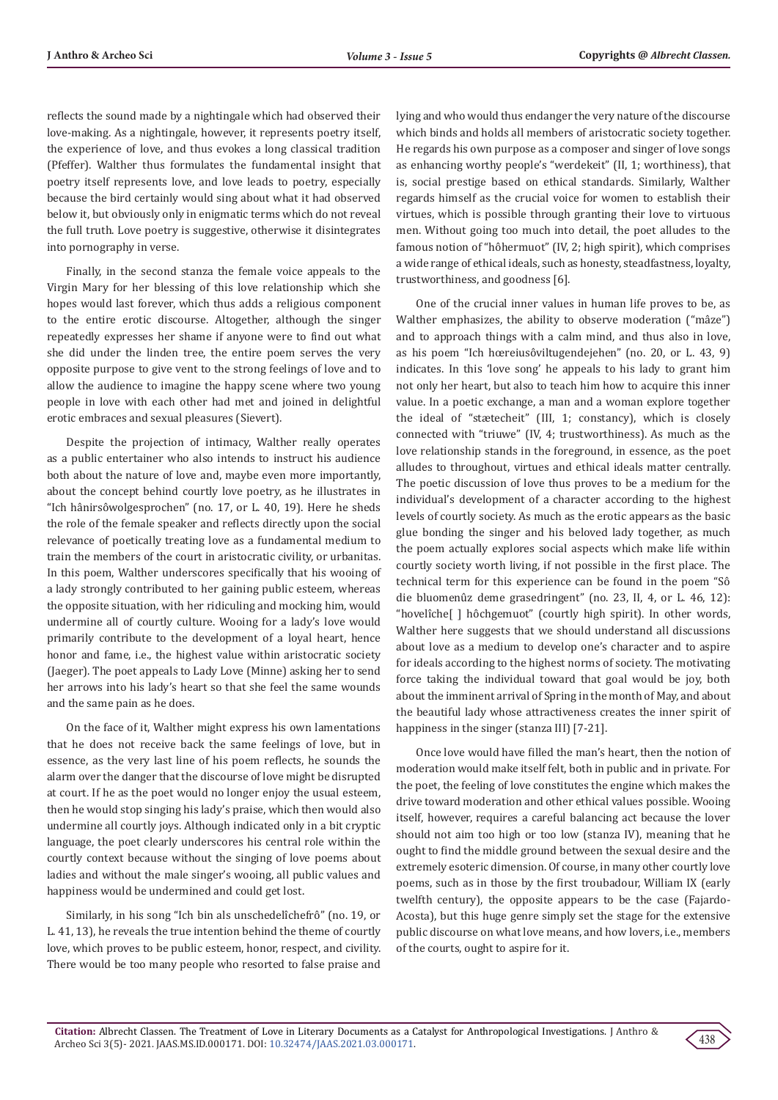reflects the sound made by a nightingale which had observed their love-making. As a nightingale, however, it represents poetry itself, the experience of love, and thus evokes a long classical tradition (Pfeffer). Walther thus formulates the fundamental insight that poetry itself represents love, and love leads to poetry, especially because the bird certainly would sing about what it had observed below it, but obviously only in enigmatic terms which do not reveal the full truth. Love poetry is suggestive, otherwise it disintegrates into pornography in verse.

Finally, in the second stanza the female voice appeals to the Virgin Mary for her blessing of this love relationship which she hopes would last forever, which thus adds a religious component to the entire erotic discourse. Altogether, although the singer repeatedly expresses her shame if anyone were to find out what she did under the linden tree, the entire poem serves the very opposite purpose to give vent to the strong feelings of love and to allow the audience to imagine the happy scene where two young people in love with each other had met and joined in delightful erotic embraces and sexual pleasures (Sievert).

Despite the projection of intimacy, Walther really operates as a public entertainer who also intends to instruct his audience both about the nature of love and, maybe even more importantly, about the concept behind courtly love poetry, as he illustrates in "Ich hânirsôwolgesprochen" (no. 17, or L. 40, 19). Here he sheds the role of the female speaker and reflects directly upon the social relevance of poetically treating love as a fundamental medium to train the members of the court in aristocratic civility, or urbanitas. In this poem, Walther underscores specifically that his wooing of a lady strongly contributed to her gaining public esteem, whereas the opposite situation, with her ridiculing and mocking him, would undermine all of courtly culture. Wooing for a lady's love would primarily contribute to the development of a loyal heart, hence honor and fame, i.e., the highest value within aristocratic society (Jaeger). The poet appeals to Lady Love (Minne) asking her to send her arrows into his lady's heart so that she feel the same wounds and the same pain as he does.

On the face of it, Walther might express his own lamentations that he does not receive back the same feelings of love, but in essence, as the very last line of his poem reflects, he sounds the alarm over the danger that the discourse of love might be disrupted at court. If he as the poet would no longer enjoy the usual esteem, then he would stop singing his lady's praise, which then would also undermine all courtly joys. Although indicated only in a bit cryptic language, the poet clearly underscores his central role within the courtly context because without the singing of love poems about ladies and without the male singer's wooing, all public values and happiness would be undermined and could get lost.

Similarly, in his song "Ich bin als unschedelîchefrô" (no. 19, or L. 41, 13), he reveals the true intention behind the theme of courtly love, which proves to be public esteem, honor, respect, and civility. There would be too many people who resorted to false praise and

lying and who would thus endanger the very nature of the discourse which binds and holds all members of aristocratic society together. He regards his own purpose as a composer and singer of love songs as enhancing worthy people's "werdekeit" (II, 1; worthiness), that is, social prestige based on ethical standards. Similarly, Walther regards himself as the crucial voice for women to establish their virtues, which is possible through granting their love to virtuous men. Without going too much into detail, the poet alludes to the famous notion of "hôhermuot" (IV, 2; high spirit), which comprises a wide range of ethical ideals, such as honesty, steadfastness, loyalty, trustworthiness, and goodness [6].

One of the crucial inner values in human life proves to be, as Walther emphasizes, the ability to observe moderation ("mâze") and to approach things with a calm mind, and thus also in love, as his poem "Ich hœreiusôviltugendejehen" (no. 20, or L. 43, 9) indicates. In this 'love song' he appeals to his lady to grant him not only her heart, but also to teach him how to acquire this inner value. In a poetic exchange, a man and a woman explore together the ideal of "stætecheit" (III, 1; constancy), which is closely connected with "triuwe" (IV, 4; trustworthiness). As much as the love relationship stands in the foreground, in essence, as the poet alludes to throughout, virtues and ethical ideals matter centrally. The poetic discussion of love thus proves to be a medium for the individual's development of a character according to the highest levels of courtly society. As much as the erotic appears as the basic glue bonding the singer and his beloved lady together, as much the poem actually explores social aspects which make life within courtly society worth living, if not possible in the first place. The technical term for this experience can be found in the poem "Sô die bluomenûz deme grasedringent" (no. 23, II, 4, or L. 46, 12): "hovelîche[ ] hôchgemuot" (courtly high spirit). In other words, Walther here suggests that we should understand all discussions about love as a medium to develop one's character and to aspire for ideals according to the highest norms of society. The motivating force taking the individual toward that goal would be joy, both about the imminent arrival of Spring in the month of May, and about the beautiful lady whose attractiveness creates the inner spirit of happiness in the singer (stanza III) [7-21].

Once love would have filled the man's heart, then the notion of moderation would make itself felt, both in public and in private. For the poet, the feeling of love constitutes the engine which makes the drive toward moderation and other ethical values possible. Wooing itself, however, requires a careful balancing act because the lover should not aim too high or too low (stanza IV), meaning that he ought to find the middle ground between the sexual desire and the extremely esoteric dimension. Of course, in many other courtly love poems, such as in those by the first troubadour, William IX (early twelfth century), the opposite appears to be the case (Fajardo-Acosta), but this huge genre simply set the stage for the extensive public discourse on what love means, and how lovers, i.e., members of the courts, ought to aspire for it.

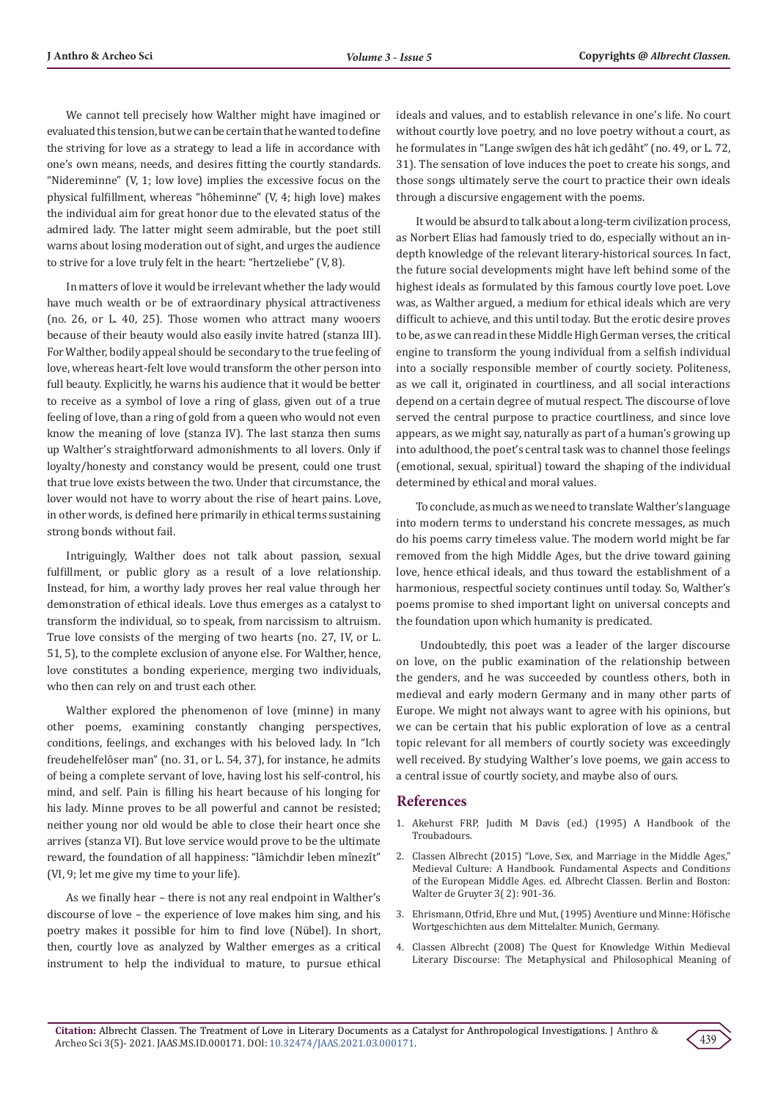We cannot tell precisely how Walther might have imagined or evaluated this tension, but we can be certain that he wanted to define the striving for love as a strategy to lead a life in accordance with one's own means, needs, and desires fitting the courtly standards. "Nidereminne" (V, 1; low love) implies the excessive focus on the physical fulfillment, whereas "hôheminne" (V, 4; high love) makes the individual aim for great honor due to the elevated status of the admired lady. The latter might seem admirable, but the poet still warns about losing moderation out of sight, and urges the audience to strive for a love truly felt in the heart: "hertzeliebe" (V, 8).

In matters of love it would be irrelevant whether the lady would have much wealth or be of extraordinary physical attractiveness (no. 26, or L. 40, 25). Those women who attract many wooers because of their beauty would also easily invite hatred (stanza III). For Walther, bodily appeal should be secondary to the true feeling of love, whereas heart-felt love would transform the other person into full beauty. Explicitly, he warns his audience that it would be better to receive as a symbol of love a ring of glass, given out of a true feeling of love, than a ring of gold from a queen who would not even know the meaning of love (stanza IV). The last stanza then sums up Walther's straightforward admonishments to all lovers. Only if loyalty/honesty and constancy would be present, could one trust that true love exists between the two. Under that circumstance, the lover would not have to worry about the rise of heart pains. Love, in other words, is defined here primarily in ethical terms sustaining strong bonds without fail.

Intriguingly, Walther does not talk about passion, sexual fulfillment, or public glory as a result of a love relationship. Instead, for him, a worthy lady proves her real value through her demonstration of ethical ideals. Love thus emerges as a catalyst to transform the individual, so to speak, from narcissism to altruism. True love consists of the merging of two hearts (no. 27, IV, or L. 51, 5), to the complete exclusion of anyone else. For Walther, hence, love constitutes a bonding experience, merging two individuals, who then can rely on and trust each other.

Walther explored the phenomenon of love (minne) in many other poems, examining constantly changing perspectives, conditions, feelings, and exchanges with his beloved lady. In "Ich freudehelfelôser man" (no. 31, or L. 54, 37), for instance, he admits of being a complete servant of love, having lost his self-control, his mind, and self. Pain is filling his heart because of his longing for his lady. Minne proves to be all powerful and cannot be resisted; neither young nor old would be able to close their heart once she arrives (stanza VI). But love service would prove to be the ultimate reward, the foundation of all happiness: "lâmichdir leben mînezît" (VI, 9; let me give my time to your life).

As we finally hear – there is not any real endpoint in Walther's discourse of love – the experience of love makes him sing, and his poetry makes it possible for him to find love (Nübel). In short, then, courtly love as analyzed by Walther emerges as a critical instrument to help the individual to mature, to pursue ethical

ideals and values, and to establish relevance in one's life. No court without courtly love poetry, and no love poetry without a court, as he formulates in "Lange swîgen des hât ich gedâht" (no. 49, or L. 72, 31). The sensation of love induces the poet to create his songs, and those songs ultimately serve the court to practice their own ideals through a discursive engagement with the poems.

It would be absurd to talk about a long-term civilization process, as Norbert Elias had famously tried to do, especially without an indepth knowledge of the relevant literary-historical sources. In fact, the future social developments might have left behind some of the highest ideals as formulated by this famous courtly love poet. Love was, as Walther argued, a medium for ethical ideals which are very difficult to achieve, and this until today. But the erotic desire proves to be, as we can read in these Middle High German verses, the critical engine to transform the young individual from a selfish individual into a socially responsible member of courtly society. Politeness, as we call it, originated in courtliness, and all social interactions depend on a certain degree of mutual respect. The discourse of love served the central purpose to practice courtliness, and since love appears, as we might say, naturally as part of a human's growing up into adulthood, the poet's central task was to channel those feelings (emotional, sexual, spiritual) toward the shaping of the individual determined by ethical and moral values.

To conclude, as much as we need to translate Walther's language into modern terms to understand his concrete messages, as much do his poems carry timeless value. The modern world might be far removed from the high Middle Ages, but the drive toward gaining love, hence ethical ideals, and thus toward the establishment of a harmonious, respectful society continues until today. So, Walther's poems promise to shed important light on universal concepts and the foundation upon which humanity is predicated.

 Undoubtedly, this poet was a leader of the larger discourse on love, on the public examination of the relationship between the genders, and he was succeeded by countless others, both in medieval and early modern Germany and in many other parts of Europe. We might not always want to agree with his opinions, but we can be certain that his public exploration of love as a central topic relevant for all members of courtly society was exceedingly well received. By studying Walther's love poems, we gain access to a central issue of courtly society, and maybe also of ours.

#### **References**

- 1. Akehurst FRP, Judith M Davis (ed.) (1995) A Handbook of the **Troubadours**
- 2. Classen Albrecht (2015) "Love, Sex, and Marriage in the Middle Ages," Medieval Culture: A Handbook. Fundamental Aspects and Conditions of the European Middle Ages. ed. Albrecht Classen. Berlin and Boston: Walter de Gruyter 3( 2): 901-36.
- 3. Ehrismann, Otfrid, Ehre und Mut, (1995) Aventiure und Minne: Höfische Wortgeschichten aus dem Mittelalter. Munich, Germany.
- 4. Classen Albrecht (2008) The Quest for Knowledge Within Medieval Literary Discourse: The Metaphysical and Philosophical Meaning of